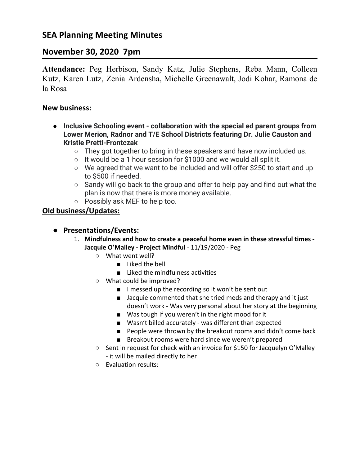# **November 30, 2020 7pm**

**Attendance:** Peg Herbison, Sandy Katz, Julie Stephens, Reba Mann, Colleen Kutz, Karen Lutz, Zenia Ardensha, Michelle Greenawalt, Jodi Kohar, Ramona de la Rosa

### **New business:**

- **● Inclusive Schooling event collaboration with the special ed parent groups from Lower Merion, Radnor and T/E School Districts featuring Dr. Julie Causton and Kristie Pretti-Frontczak**
	- $\circ$  They got together to bring in these speakers and have now included us.
	- $\circ$  It would be a 1 hour session for \$1000 and we would all split it.
	- We agreed that we want to be included and will offer \$250 to start and up to \$500 if needed.
	- Sandy will go back to the group and offer to help pay and find out what the plan is now that there is more money available.
	- Possibly ask MEF to help too.

# **Old business/Updates:**

### **● Presentations/Events:**

- 1. **Mindfulness and how to create a peaceful home even in these stressful times - Jacquie O'Malley - Project Mindful** - 11/19/2020 - Peg
	- What went well?
		- Liked the bell
		- Liked the mindfulness activities
	- What could be improved?
		- I messed up the recording so it won't be sent out
		- Jacquie commented that she tried meds and therapy and it just doesn't work - Was very personal about her story at the beginning
		- Was tough if you weren't in the right mood for it
		- Wasn't billed accurately was different than expected
		- People were thrown by the breakout rooms and didn't come back
		- Breakout rooms were hard since we weren't prepared
	- Sent in request for check with an invoice for \$150 for Jacquelyn O'Malley - it will be mailed directly to her
	- Evaluation results: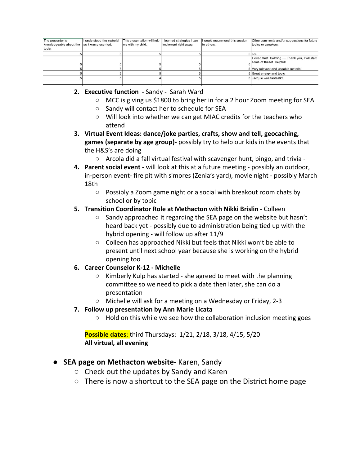| The presenter is<br>knowledgeable about the<br>topic. | I understood the material<br>as it was presented. | This presentation will help<br>me with my child. | I learned strategies I can<br>implement right away. | I would recommend this session<br>to others. | Other comments and/or suggestions for future<br>topics or speakers:       |
|-------------------------------------------------------|---------------------------------------------------|--------------------------------------------------|-----------------------------------------------------|----------------------------------------------|---------------------------------------------------------------------------|
|                                                       |                                                   |                                                  |                                                     |                                              | 5 ccc                                                                     |
|                                                       |                                                   |                                                  |                                                     |                                              | I loved this! Calming  Thank you, I will start<br>some of these! Helpful! |
|                                                       |                                                   |                                                  |                                                     |                                              | 5 Very relevant and useable material                                      |
|                                                       |                                                   |                                                  |                                                     |                                              | 5 Great energy and topic                                                  |
|                                                       |                                                   |                                                  |                                                     |                                              | 5 Jacquie was fantastic!                                                  |
|                                                       |                                                   |                                                  |                                                     |                                              |                                                                           |

#### **2. Executive function -** Sandy **-** Sarah Ward

- MCC is giving us \$1800 to bring her in for a 2 hour Zoom meeting for SEA
- Sandy will contact her to schedule for SEA
- Will look into whether we can get MIAC credits for the teachers who attend
- **3. Virtual Event Ideas: dance/joke parties, crafts, show and tell, geocaching, games (separate by age group)-** possibly try to help our kids in the events that the H&S's are doing
	- Arcola did a fall virtual festival with scavenger hunt, bingo, and trivia -
- **4. Parent social event -** will look at this at a future meeting possibly an outdoor, in-person event- fire pit with s'mores (Zenia's yard), movie night - possibly March 18th
	- Possibly a Zoom game night or a social with breakout room chats by school or by topic

#### **5. Transition Coordinator Role at Methacton with Nikki Brislin -** Colleen

- Sandy approached it regarding the SEA page on the website but hasn't heard back yet - possibly due to administration being tied up with the hybrid opening - will follow up after 11/9
- Colleen has approached Nikki but feels that Nikki won't be able to present until next school year because she is working on the hybrid opening too

#### **6. Career Counselor K-12 - Michelle**

- Kimberly Kulp has started she agreed to meet with the planning committee so we need to pick a date then later, she can do a presentation
- Michelle will ask for a meeting on a Wednesday or Friday, 2-3

### **7. Follow up presentation by Ann Marie Licata**

○ Hold on this while we see how the collaboration inclusion meeting goes

**Possible dates**: third Thursdays: 1/21, 2/18, 3/18, 4/15, 5/20 **All virtual, all evening**

### ● **SEA page on Methacton website-** Karen, Sandy

- $\circ$  Check out the updates by Sandy and Karen
- $\circ$  There is now a shortcut to the SEA page on the District home page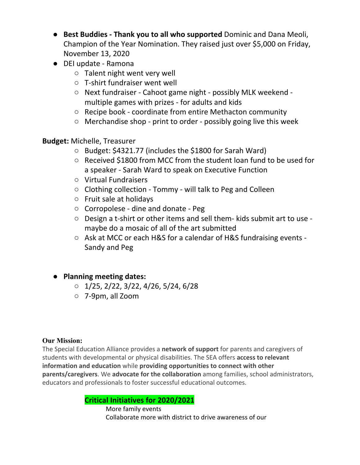- **Best Buddies - Thank you to all who supported** Dominic and Dana Meoli, Champion of the Year Nomination. They raised just over \$5,000 on Friday, November 13, 2020
- DEI update Ramona
	- Talent night went very well
	- T-shirt fundraiser went well
	- Next fundraiser Cahoot game night possibly MLK weekend multiple games with prizes - for adults and kids
	- Recipe book coordinate from entire Methacton community
	- Merchandise shop print to order possibly going live this week

# **Budget:** Michelle, Treasurer

- Budget: \$4321.77 (includes the \$1800 for Sarah Ward)
- Received \$1800 from MCC from the student loan fund to be used for a speaker - Sarah Ward to speak on Executive Function
- Virtual Fundraisers
- Clothing collection Tommy will talk to Peg and Colleen
- Fruit sale at holidays
- Corropolese dine and donate Peg
- Design a t-shirt or other items and sell them- kids submit art to use maybe do a mosaic of all of the art submitted
- Ask at MCC or each H&S for a calendar of H&S fundraising events -Sandy and Peg
- **● Planning meeting dates:**
	- $\circ$  1/25, 2/22, 3/22, 4/26, 5/24, 6/28
	- 7-9pm, all Zoom

### **Our Mission:**

The Special Education Alliance provides a **network of support** for parents and caregivers of students with developmental or physical disabilities. The SEA offers **access to relevant information and education** while **providing opportunities to connect with other parents/caregivers**. We **advocate for the collaboration** among families, school administrators, educators and professionals to foster successful educational outcomes.

# **Critical Initiatives for 2020/2021**

More family events Collaborate more with district to drive awareness of our